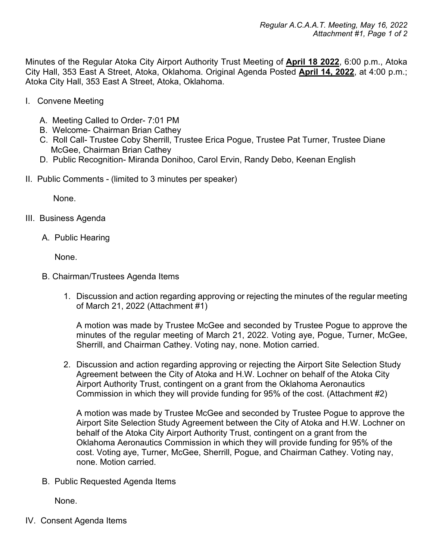Minutes of the Regular Atoka City Airport Authority Trust Meeting of **April 18 2022**, 6:00 p.m., Atoka City Hall, 353 East A Street, Atoka, Oklahoma. Original Agenda Posted **April 14, 2022**, at 4:00 p.m.; Atoka City Hall, 353 East A Street, Atoka, Oklahoma.

- I. Convene Meeting
	- A. Meeting Called to Order- 7:01 PM
	- B. Welcome- Chairman Brian Cathey
	- C. Roll Call- Trustee Coby Sherrill, Trustee Erica Pogue, Trustee Pat Turner, Trustee Diane McGee, Chairman Brian Cathey
	- D. Public Recognition- Miranda Donihoo, Carol Ervin, Randy Debo, Keenan English
- II. Public Comments (limited to 3 minutes per speaker)

None.

- III. Business Agenda
	- A. Public Hearing

None.

- B. Chairman/Trustees Agenda Items
	- 1. Discussion and action regarding approving or rejecting the minutes of the regular meeting of March 21, 2022 (Attachment #1)

A motion was made by Trustee McGee and seconded by Trustee Pogue to approve the minutes of the regular meeting of March 21, 2022. Voting aye, Pogue, Turner, McGee, Sherrill, and Chairman Cathey. Voting nay, none. Motion carried.

2. Discussion and action regarding approving or rejecting the Airport Site Selection Study Agreement between the City of Atoka and H.W. Lochner on behalf of the Atoka City Airport Authority Trust, contingent on a grant from the Oklahoma Aeronautics Commission in which they will provide funding for 95% of the cost. (Attachment #2)

A motion was made by Trustee McGee and seconded by Trustee Pogue to approve the Airport Site Selection Study Agreement between the City of Atoka and H.W. Lochner on behalf of the Atoka City Airport Authority Trust, contingent on a grant from the Oklahoma Aeronautics Commission in which they will provide funding for 95% of the cost. Voting aye, Turner, McGee, Sherrill, Pogue, and Chairman Cathey. Voting nay, none. Motion carried.

B. Public Requested Agenda Items

None.

IV. Consent Agenda Items